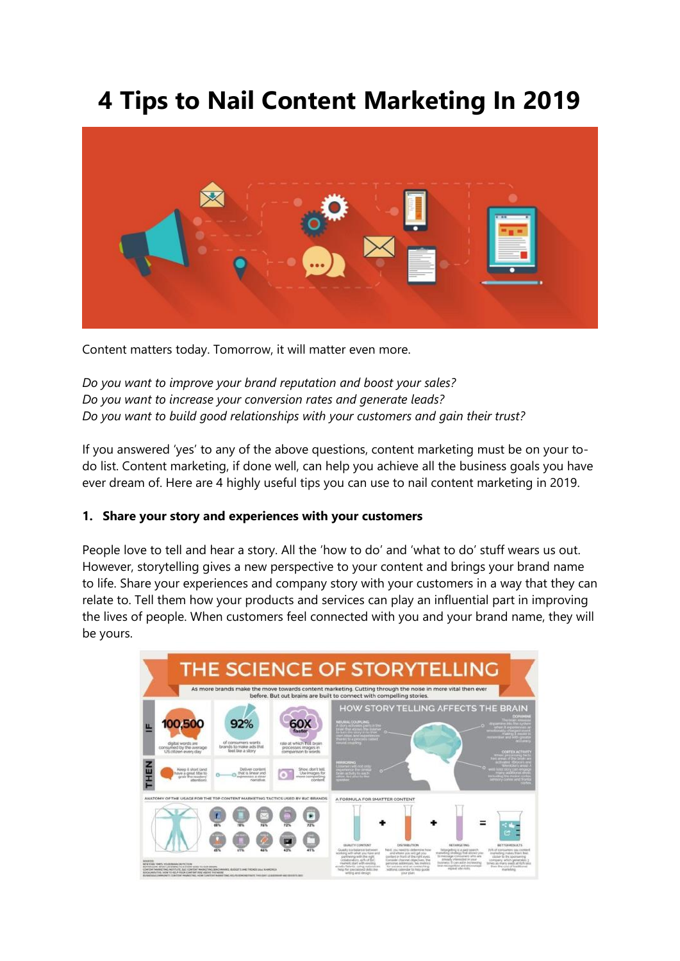# **4 Tips to Nail Content Marketing In 2019**



Content matters today. Tomorrow, it will matter even more.

*Do you want to improve your brand reputation and boost your sales? Do you want to increase your conversion rates and generate leads? Do you want to build good relationships with your customers and gain their trust?*

If you answered 'yes' to any of the above questions, content marketing must be on your todo list. Content marketing, if done well, can help you achieve all the business goals you have ever dream of. Here are 4 highly useful tips you can use to nail content marketing in 2019.

### **1. Share your story and experiences with your customers**

People love to tell and hear a story. All the 'how to do' and 'what to do' stuff wears us out. However, storytelling gives a new perspective to your content and brings your brand name to life. Share your experiences and company story with your customers in a way that they can relate to. Tell them how your products and services can play an influential part in improving the lives of people. When customers feel connected with you and your brand name, they will be yours.

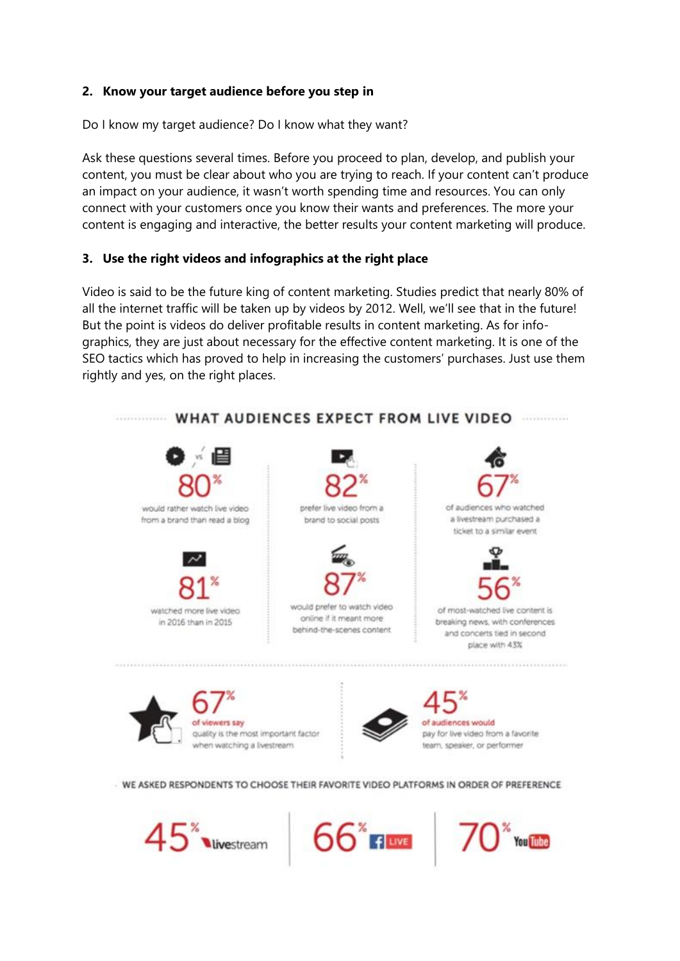### **2. Know your target audience before you step in**

Do I know my target audience? Do I know what they want?

Ask these questions several times. Before you proceed to plan, develop, and publish your content, you must be clear about who you are trying to reach. If your content can't produce an impact on your audience, it wasn't worth spending time and resources. You can only connect with your customers once you know their wants and preferences. The more your content is engaging and interactive, the better results your content marketing will produce.

## **3. Use the right videos and infographics at the right place**

Video is said to be the future king of content marketing. [Studies](https://tubularinsights.com/video-2021/) predict that nearly 80% of all the internet traffic will be taken up by videos by 2012. Well, we'll see that in the future! But the point is videos do deliver profitable results in content marketing. As for infographics, they are just about necessary for the effective content marketing. It is one of the SEO tactics which has proved to help in increasing the customers' purchases. Just use them rightly and yes, on the right places.



 $45$ vivestream